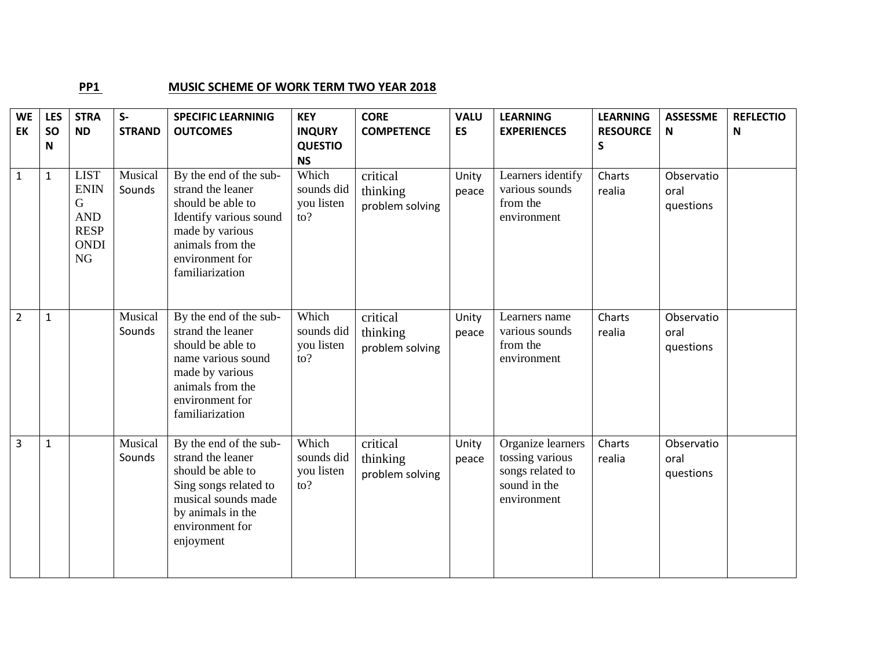## **PP1** MUSIC SCHEME OF WORK TERM TWO YEAR 2018

| <b>WE</b>      | <b>LES</b>   | <b>STRA</b>                                                                       | $S-$              | <b>SPECIFIC LEARNINIG</b>                                                                                                                                               | <b>KEY</b>                                          | <b>CORE</b>                             | <b>VALU</b>    | <b>LEARNING</b>                                                                         | <b>LEARNING</b>  | <b>ASSESSME</b>                 | <b>REFLECTIO</b> |
|----------------|--------------|-----------------------------------------------------------------------------------|-------------------|-------------------------------------------------------------------------------------------------------------------------------------------------------------------------|-----------------------------------------------------|-----------------------------------------|----------------|-----------------------------------------------------------------------------------------|------------------|---------------------------------|------------------|
| EK             | <b>SO</b>    | <b>ND</b>                                                                         | <b>STRAND</b>     | <b>OUTCOMES</b>                                                                                                                                                         | <b>INQURY</b>                                       | <b>COMPETENCE</b>                       | <b>ES</b>      | <b>EXPERIENCES</b>                                                                      | <b>RESOURCE</b>  | N                               | N                |
|                | N            |                                                                                   |                   |                                                                                                                                                                         | <b>QUESTIO</b><br><b>NS</b>                         |                                         |                |                                                                                         | $\mathsf S$      |                                 |                  |
| $\mathbf 1$    | $\mathbf{1}$ | <b>LIST</b><br><b>ENIN</b><br>G<br><b>AND</b><br><b>RESP</b><br><b>ONDI</b><br>NG | Musical<br>Sounds | By the end of the sub-<br>strand the leaner<br>should be able to<br>Identify various sound<br>made by various<br>animals from the<br>environment for<br>familiarization | Which<br>sounds did<br>you listen<br>$\mathsf{to}?$ | critical<br>thinking<br>problem solving | Unity<br>peace | Learners identify<br>various sounds<br>from the<br>environment                          | Charts<br>realia | Observatio<br>oral<br>questions |                  |
| $\overline{2}$ | $\mathbf{1}$ |                                                                                   | Musical<br>Sounds | By the end of the sub-<br>strand the leaner<br>should be able to<br>name various sound<br>made by various<br>animals from the<br>environment for<br>familiarization     | Which<br>sounds did<br>you listen<br>$\mathsf{to}?$ | critical<br>thinking<br>problem solving | Unity<br>peace | Learners name<br>various sounds<br>from the<br>environment                              | Charts<br>realia | Observatio<br>oral<br>questions |                  |
| 3              | $\mathbf{1}$ |                                                                                   | Musical<br>Sounds | By the end of the sub-<br>strand the leaner<br>should be able to<br>Sing songs related to<br>musical sounds made<br>by animals in the<br>environment for<br>enjoyment   | Which<br>sounds did<br>you listen<br>$\mathsf{to}?$ | critical<br>thinking<br>problem solving | Unity<br>peace | Organize learners<br>tossing various<br>songs related to<br>sound in the<br>environment | Charts<br>realia | Observatio<br>oral<br>questions |                  |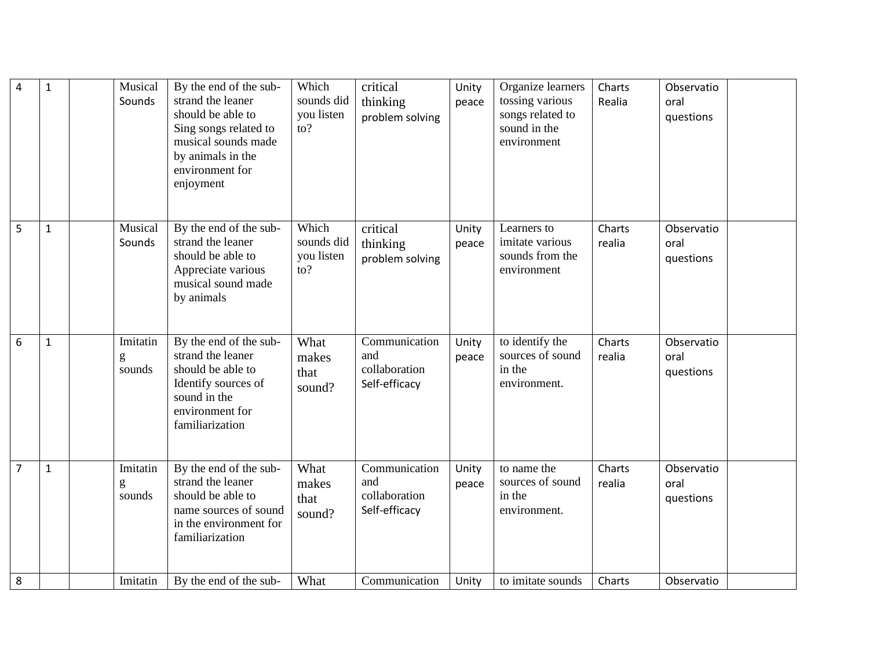| $\overline{4}$ | $\mathbf 1$  | Musical<br>Sounds       | By the end of the sub-<br>strand the leaner<br>should be able to<br>Sing songs related to<br>musical sounds made<br>by animals in the<br>environment for<br>enjoyment | Which<br>sounds did<br>you listen<br>$\mathsf{to}?$ | critical<br>thinking<br>problem solving                | Unity<br>peace | Organize learners<br>tossing various<br>songs related to<br>sound in the<br>environment | Charts<br>Realia | Observatio<br>oral<br>questions |
|----------------|--------------|-------------------------|-----------------------------------------------------------------------------------------------------------------------------------------------------------------------|-----------------------------------------------------|--------------------------------------------------------|----------------|-----------------------------------------------------------------------------------------|------------------|---------------------------------|
| 5              | $\mathbf{1}$ | Musical<br>Sounds       | By the end of the sub-<br>strand the leaner<br>should be able to<br>Appreciate various<br>musical sound made<br>by animals                                            | Which<br>sounds did<br>you listen<br>to?            | critical<br>thinking<br>problem solving                | Unity<br>peace | Learners to<br>imitate various<br>sounds from the<br>environment                        | Charts<br>realia | Observatio<br>oral<br>questions |
| 6              | $\mathbf{1}$ | Imitatin<br>g<br>sounds | By the end of the sub-<br>strand the leaner<br>should be able to<br>Identify sources of<br>sound in the<br>environment for<br>familiarization                         | What<br>makes<br>that<br>sound?                     | Communication<br>and<br>collaboration<br>Self-efficacy | Unity<br>peace | to identify the<br>sources of sound<br>in the<br>environment.                           | Charts<br>realia | Observatio<br>oral<br>questions |
| $\overline{7}$ | $\mathbf{1}$ | Imitatin<br>g<br>sounds | By the end of the sub-<br>strand the leaner<br>should be able to<br>name sources of sound<br>in the environment for<br>familiarization                                | What<br>makes<br>that<br>sound?                     | Communication<br>and<br>collaboration<br>Self-efficacy | Unity<br>peace | to name the<br>sources of sound<br>in the<br>environment.                               | Charts<br>realia | Observatio<br>oral<br>questions |
| 8              |              | Imitatin                | By the end of the sub-                                                                                                                                                | What                                                | Communication                                          | Unity          | to imitate sounds                                                                       | Charts           | Observatio                      |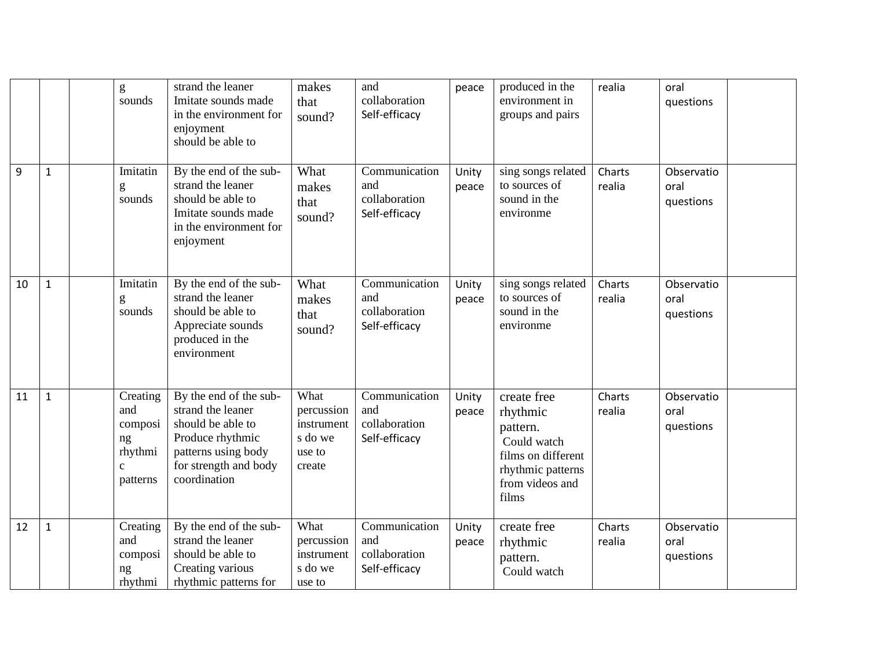|    |              | $\mathbf{g}$<br>sounds                                                  | strand the leaner<br>Imitate sounds made<br>in the environment for<br>enjoyment<br>should be able to                                                 | makes<br>that<br>sound?                                         | and<br>collaboration<br>Self-efficacy                  | peace          | produced in the<br>environment in<br>groups and pairs                                                                     | realia           | oral<br>questions               |
|----|--------------|-------------------------------------------------------------------------|------------------------------------------------------------------------------------------------------------------------------------------------------|-----------------------------------------------------------------|--------------------------------------------------------|----------------|---------------------------------------------------------------------------------------------------------------------------|------------------|---------------------------------|
| 9  | $\mathbf{1}$ | Imitatin<br>g<br>sounds                                                 | By the end of the sub-<br>strand the leaner<br>should be able to<br>Imitate sounds made<br>in the environment for<br>enjoyment                       | What<br>makes<br>that<br>sound?                                 | Communication<br>and<br>collaboration<br>Self-efficacy | Unity<br>peace | sing songs related<br>to sources of<br>sound in the<br>environme                                                          | Charts<br>realia | Observatio<br>oral<br>questions |
| 10 | $\mathbf{1}$ | Imitatin<br>g<br>sounds                                                 | By the end of the sub-<br>strand the leaner<br>should be able to<br>Appreciate sounds<br>produced in the<br>environment                              | What<br>makes<br>that<br>sound?                                 | Communication<br>and<br>collaboration<br>Self-efficacy | Unity<br>peace | sing songs related<br>to sources of<br>sound in the<br>environme                                                          | Charts<br>realia | Observatio<br>oral<br>questions |
| 11 | $\mathbf{1}$ | Creating<br>and<br>composi<br>ng<br>rhythmi<br>$\mathbf{c}$<br>patterns | By the end of the sub-<br>strand the leaner<br>should be able to<br>Produce rhythmic<br>patterns using body<br>for strength and body<br>coordination | What<br>percussion<br>instrument<br>s do we<br>use to<br>create | Communication<br>and<br>collaboration<br>Self-efficacy | Unity<br>peace | create free<br>rhythmic<br>pattern.<br>Could watch<br>films on different<br>rhythmic patterns<br>from videos and<br>films | Charts<br>realia | Observatio<br>oral<br>questions |
| 12 | $\mathbf{1}$ | Creating<br>and<br>composi<br>ng<br>rhythmi                             | By the end of the sub-<br>strand the leaner<br>should be able to<br>Creating various<br>rhythmic patterns for                                        | What<br>percussion<br>instrument<br>s do we<br>use to           | Communication<br>and<br>collaboration<br>Self-efficacy | Unity<br>peace | create free<br>rhythmic<br>pattern.<br>Could watch                                                                        | Charts<br>realia | Observatio<br>oral<br>questions |